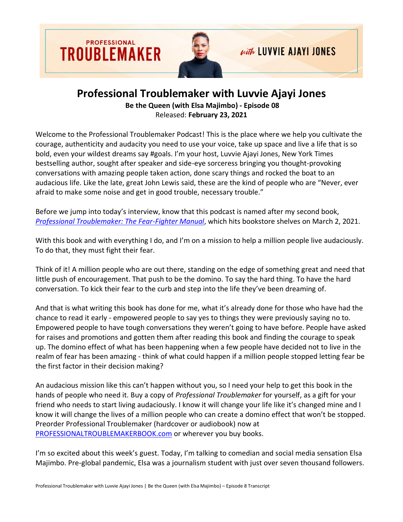

## **Professional Troublemaker with Luvvie Ajayi Jones**

**Be the Queen (with Elsa Majimbo) - Episode 08** Released: **February 23, 2021**

Welcome to the Professional Troublemaker Podcast! This is the place where we help you cultivate the courage, authenticity and audacity you need to use your voice, take up space and live a life that is so bold, even your wildest dreams say #goals. I'm your host, Luvvie Ajayi Jones, New York Times bestselling author, sought after speaker and side-eye sorceress bringing you thought-provoking conversations with amazing people taken action, done scary things and rocked the boat to an audacious life. Like the late, great John Lewis said, these are the kind of people who are "Never, ever afraid to make some noise and get in good trouble, necessary trouble."

Before we jump into today's interview, know that this podcast is named after my second book, *[Professional Troublemaker: The Fear-Fighter Manual](https://professionaltroublemakerbook.com/)*, which hits bookstore shelves on March 2, 2021.

With this book and with everything I do, and I'm on a mission to help a million people live audaciously. To do that, they must fight their fear.

Think of it! A million people who are out there, standing on the edge of something great and need that little push of encouragement. That push to be the domino. To say the hard thing. To have the hard conversation. To kick their fear to the curb and step into the life they've been dreaming of.

And that is what writing this book has done for me, what it's already done for those who have had the chance to read it early - empowered people to say yes to things they were previously saying no to. Empowered people to have tough conversations they weren't going to have before. People have asked for raises and promotions and gotten them after reading this book and finding the courage to speak up. The domino effect of what has been happening when a few people have decided not to live in the realm of fear has been amazing - think of what could happen if a million people stopped letting fear be the first factor in their decision making?

An audacious mission like this can't happen without you, so I need your help to get this book in the hands of people who need it. Buy a copy of *Professional Troublemaker* for yourself, as a gift for your friend who needs to start living audaciously. I know it will change your life like it's changed mine and I know it will change the lives of a million people who can create a domino effect that won't be stopped. Preorder Professional Troublemaker (hardcover or audiobook) now at [PROFESSIONALTROUBLEMAKERBOOK.com](https://professionaltroublemakerbook.com/) or wherever you buy books.

I'm so excited about this week's guest. Today, I'm talking to comedian and social media sensation Elsa Majimbo. Pre-global pandemic, Elsa was a journalism student with just over seven thousand followers.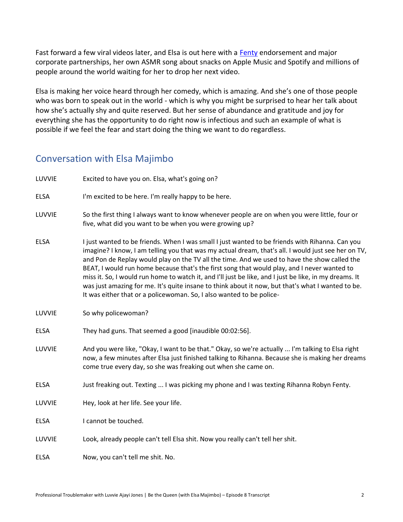Fast forward a few viral videos later, and Elsa is out here with a [Fenty](https://www.10magazine.com/womenswear/rihanna-fenty-launch-catwalk-to-street/) endorsement and major corporate partnerships, her own ASMR song about snacks on Apple Music and Spotify and millions of people around the world waiting for her to drop her next video.

Elsa is making her voice heard through her comedy, which is amazing. And she's one of those people who was born to speak out in the world - which is why you might be surprised to hear her talk about how she's actually shy and quite reserved. But her sense of abundance and gratitude and joy for everything she has the opportunity to do right now is infectious and such an example of what is possible if we feel the fear and start doing the thing we want to do regardless.

## Conversation with Elsa Majimbo

| LUVVIE      | Excited to have you on. Elsa, what's going on?                                                                                                                                                                                                                                                                                                                                                                                                                                                                                                                                                                                                                                               |
|-------------|----------------------------------------------------------------------------------------------------------------------------------------------------------------------------------------------------------------------------------------------------------------------------------------------------------------------------------------------------------------------------------------------------------------------------------------------------------------------------------------------------------------------------------------------------------------------------------------------------------------------------------------------------------------------------------------------|
| <b>ELSA</b> | I'm excited to be here. I'm really happy to be here.                                                                                                                                                                                                                                                                                                                                                                                                                                                                                                                                                                                                                                         |
| LUVVIE      | So the first thing I always want to know whenever people are on when you were little, four or<br>five, what did you want to be when you were growing up?                                                                                                                                                                                                                                                                                                                                                                                                                                                                                                                                     |
| <b>ELSA</b> | I just wanted to be friends. When I was small I just wanted to be friends with Rihanna. Can you<br>imagine? I know, I am telling you that was my actual dream, that's all. I would just see her on TV,<br>and Pon de Replay would play on the TV all the time. And we used to have the show called the<br>BEAT, I would run home because that's the first song that would play, and I never wanted to<br>miss it. So, I would run home to watch it, and I'll just be like, and I just be like, in my dreams. It<br>was just amazing for me. It's quite insane to think about it now, but that's what I wanted to be.<br>It was either that or a policewoman. So, I also wanted to be police- |
| LUVVIE      | So why policewoman?                                                                                                                                                                                                                                                                                                                                                                                                                                                                                                                                                                                                                                                                          |
| <b>ELSA</b> | They had guns. That seemed a good [inaudible 00:02:56].                                                                                                                                                                                                                                                                                                                                                                                                                                                                                                                                                                                                                                      |
| LUVVIE      | And you were like, "Okay, I want to be that." Okay, so we're actually  I'm talking to Elsa right<br>now, a few minutes after Elsa just finished talking to Rihanna. Because she is making her dreams<br>come true every day, so she was freaking out when she came on.                                                                                                                                                                                                                                                                                                                                                                                                                       |
| <b>ELSA</b> | Just freaking out. Texting  I was picking my phone and I was texting Rihanna Robyn Fenty.                                                                                                                                                                                                                                                                                                                                                                                                                                                                                                                                                                                                    |
| LUVVIE      | Hey, look at her life. See your life.                                                                                                                                                                                                                                                                                                                                                                                                                                                                                                                                                                                                                                                        |
| <b>ELSA</b> | I cannot be touched.                                                                                                                                                                                                                                                                                                                                                                                                                                                                                                                                                                                                                                                                         |
| LUVVIE      | Look, already people can't tell Elsa shit. Now you really can't tell her shit.                                                                                                                                                                                                                                                                                                                                                                                                                                                                                                                                                                                                               |
| <b>ELSA</b> | Now, you can't tell me shit. No.                                                                                                                                                                                                                                                                                                                                                                                                                                                                                                                                                                                                                                                             |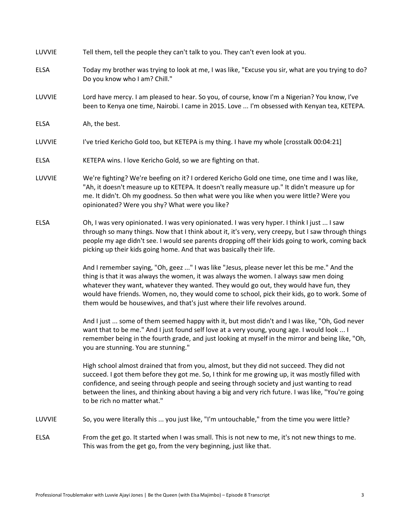| LUVVIE      | Tell them, tell the people they can't talk to you. They can't even look at you.                                                                                                                                                                                                                                                                                                                                                                                  |
|-------------|------------------------------------------------------------------------------------------------------------------------------------------------------------------------------------------------------------------------------------------------------------------------------------------------------------------------------------------------------------------------------------------------------------------------------------------------------------------|
| <b>ELSA</b> | Today my brother was trying to look at me, I was like, "Excuse you sir, what are you trying to do?<br>Do you know who I am? Chill."                                                                                                                                                                                                                                                                                                                              |
| LUVVIE      | Lord have mercy. I am pleased to hear. So you, of course, know I'm a Nigerian? You know, I've<br>been to Kenya one time, Nairobi. I came in 2015. Love  I'm obsessed with Kenyan tea, KETEPA.                                                                                                                                                                                                                                                                    |
| <b>ELSA</b> | Ah, the best.                                                                                                                                                                                                                                                                                                                                                                                                                                                    |
| LUVVIE      | I've tried Kericho Gold too, but KETEPA is my thing. I have my whole [crosstalk 00:04:21]                                                                                                                                                                                                                                                                                                                                                                        |
| <b>ELSA</b> | KETEPA wins. I love Kericho Gold, so we are fighting on that.                                                                                                                                                                                                                                                                                                                                                                                                    |
| LUVVIE      | We're fighting? We're beefing on it? I ordered Kericho Gold one time, one time and I was like,<br>"Ah, it doesn't measure up to KETEPA. It doesn't really measure up." It didn't measure up for<br>me. It didn't. Oh my goodness. So then what were you like when you were little? Were you<br>opinionated? Were you shy? What were you like?                                                                                                                    |
| <b>ELSA</b> | Oh, I was very opinionated. I was very opinionated. I was very hyper. I think I just  I saw<br>through so many things. Now that I think about it, it's very, very creepy, but I saw through things<br>people my age didn't see. I would see parents dropping off their kids going to work, coming back<br>picking up their kids going home. And that was basically their life.                                                                                   |
|             | And I remember saying, "Oh, geez " I was like "Jesus, please never let this be me." And the<br>thing is that it was always the women, it was always the women. I always saw men doing<br>whatever they want, whatever they wanted. They would go out, they would have fun, they<br>would have friends. Women, no, they would come to school, pick their kids, go to work. Some of<br>them would be housewives, and that's just where their life revolves around. |
|             | And I just  some of them seemed happy with it, but most didn't and I was like, "Oh, God never<br>want that to be me." And I just found self love at a very young, young age. I would look  I<br>remember being in the fourth grade, and just looking at myself in the mirror and being like, "Oh,<br>you are stunning. You are stunning."                                                                                                                        |
|             | High school almost drained that from you, almost, but they did not succeed. They did not<br>succeed. I got them before they got me. So, I think for me growing up, it was mostly filled with<br>confidence, and seeing through people and seeing through society and just wanting to read<br>between the lines, and thinking about having a big and very rich future. I was like, "You're going<br>to be rich no matter what."                                   |
| LUVVIE      | So, you were literally this  you just like, "I'm untouchable," from the time you were little?                                                                                                                                                                                                                                                                                                                                                                    |
| <b>ELSA</b> | From the get go. It started when I was small. This is not new to me, it's not new things to me.<br>This was from the get go, from the very beginning, just like that.                                                                                                                                                                                                                                                                                            |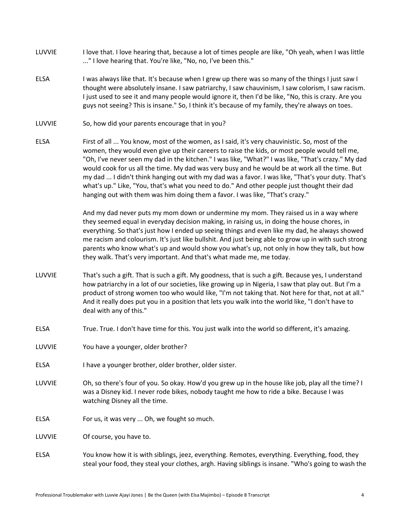- LUVVIE I love that. I love hearing that, because a lot of times people are like, "Oh yeah, when I was little ..." I love hearing that. You're like, "No, no, I've been this."
- ELSA I was always like that. It's because when I grew up there was so many of the things I just saw I thought were absolutely insane. I saw patriarchy, I saw chauvinism, I saw colorism, I saw racism. I just used to see it and many people would ignore it, then I'd be like, "No, this is crazy. Are you guys not seeing? This is insane." So, I think it's because of my family, they're always on toes.
- LUVVIE So, how did your parents encourage that in you?
- ELSA First of all ... You know, most of the women, as I said, it's very chauvinistic. So, most of the women, they would even give up their careers to raise the kids, or most people would tell me, "Oh, I've never seen my dad in the kitchen." I was like, "What?" I was like, "That's crazy." My dad would cook for us all the time. My dad was very busy and he would be at work all the time. But my dad ... I didn't think hanging out with my dad was a favor. I was like, "That's your duty. That's what's up." Like, "You, that's what you need to do." And other people just thought their dad hanging out with them was him doing them a favor. I was like, "That's crazy."

And my dad never puts my mom down or undermine my mom. They raised us in a way where they seemed equal in everyday decision making, in raising us, in doing the house chores, in everything. So that's just how I ended up seeing things and even like my dad, he always showed me racism and colourism. It's just like bullshit. And just being able to grow up in with such strong parents who know what's up and would show you what's up, not only in how they talk, but how they walk. That's very important. And that's what made me, me today.

- LUVVIE That's such a gift. That is such a gift. My goodness, that is such a gift. Because yes, I understand how patriarchy in a lot of our societies, like growing up in Nigeria, I saw that play out. But I'm a product of strong women too who would like, "I'm not taking that. Not here for that, not at all." And it really does put you in a position that lets you walk into the world like, "I don't have to deal with any of this."
- ELSA True. True. I don't have time for this. You just walk into the world so different, it's amazing.
- LUVVIE You have a younger, older brother?
- ELSA I have a younger brother, older brother, older sister.
- LUVVIE Oh, so there's four of you. So okay. How'd you grew up in the house like job, play all the time? I was a Disney kid. I never rode bikes, nobody taught me how to ride a bike. Because I was watching Disney all the time.
- ELSA For us, it was very ... Oh, we fought so much.

LUVVIE Of course, you have to.

ELSA You know how it is with siblings, jeez, everything. Remotes, everything. Everything, food, they steal your food, they steal your clothes, argh. Having siblings is insane. "Who's going to wash the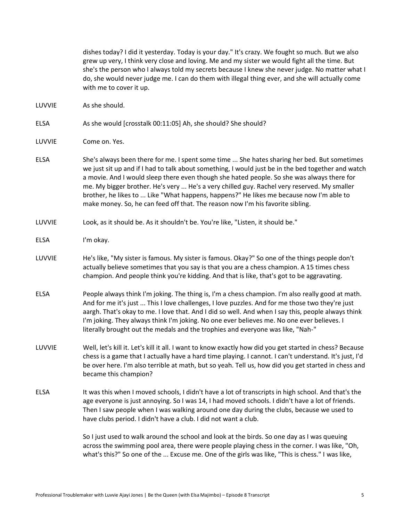dishes today? I did it yesterday. Today is your day." It's crazy. We fought so much. But we also grew up very, I think very close and loving. Me and my sister we would fight all the time. But she's the person who I always told my secrets because I knew she never judge. No matter what I do, she would never judge me. I can do them with illegal thing ever, and she will actually come with me to cover it up.

LUVVIE As she should.

ELSA As she would [crosstalk 00:11:05] Ah, she should? She should?

- ELSA She's always been there for me. I spent some time ... She hates sharing her bed. But sometimes we just sit up and if I had to talk about something, I would just be in the bed together and watch a movie. And I would sleep there even though she hated people. So she was always there for me. My bigger brother. He's very ... He's a very chilled guy. Rachel very reserved. My smaller brother, he likes to ... Like "What happens, happens?" He likes me because now I'm able to make money. So, he can feed off that. The reason now I'm his favorite sibling.
- LUVVIE Look, as it should be. As it shouldn't be. You're like, "Listen, it should be."
- ELSA I'm okay.
- LUVVIE He's like, "My sister is famous. My sister is famous. Okay?" So one of the things people don't actually believe sometimes that you say is that you are a chess champion. A 15 times chess champion. And people think you're kidding. And that is like, that's got to be aggravating.
- ELSA People always think I'm joking. The thing is, I'm a chess champion. I'm also really good at math. And for me it's just ... This I love challenges, I love puzzles. And for me those two they're just aargh. That's okay to me. I love that. And I did so well. And when I say this, people always think I'm joking. They always think I'm joking. No one ever believes me. No one ever believes. I literally brought out the medals and the trophies and everyone was like, "Nah-"
- LUVVIE Well, let's kill it. Let's kill it all. I want to know exactly how did you get started in chess? Because chess is a game that I actually have a hard time playing. I cannot. I can't understand. It's just, I'd be over here. I'm also terrible at math, but so yeah. Tell us, how did you get started in chess and became this champion?
- ELSA It was this when I moved schools, I didn't have a lot of transcripts in high school. And that's the age everyone is just annoying. So I was 14, I had moved schools. I didn't have a lot of friends. Then I saw people when I was walking around one day during the clubs, because we used to have clubs period. I didn't have a club. I did not want a club.

So I just used to walk around the school and look at the birds. So one day as I was queuing across the swimming pool area, there were people playing chess in the corner. I was like, "Oh, what's this?" So one of the ... Excuse me. One of the girls was like, "This is chess." I was like,

LUVVIE Come on. Yes.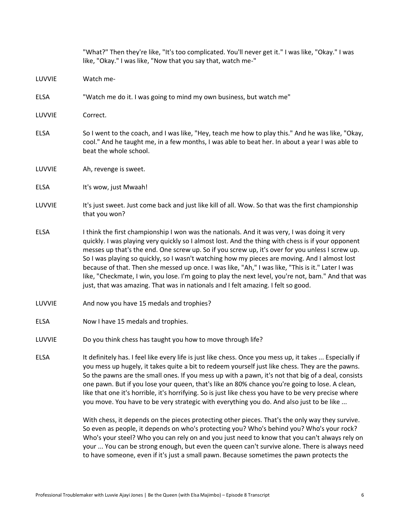|             | "What?" Then they're like, "It's too complicated. You'll never get it." I was like, "Okay." I was<br>like, "Okay." I was like, "Now that you say that, watch me-"                                                                                                                                                                                                                                                                                                                                                                                                                                                                                                                                        |
|-------------|----------------------------------------------------------------------------------------------------------------------------------------------------------------------------------------------------------------------------------------------------------------------------------------------------------------------------------------------------------------------------------------------------------------------------------------------------------------------------------------------------------------------------------------------------------------------------------------------------------------------------------------------------------------------------------------------------------|
| LUVVIE      | Watch me-                                                                                                                                                                                                                                                                                                                                                                                                                                                                                                                                                                                                                                                                                                |
| <b>ELSA</b> | "Watch me do it. I was going to mind my own business, but watch me"                                                                                                                                                                                                                                                                                                                                                                                                                                                                                                                                                                                                                                      |
| LUVVIE      | Correct.                                                                                                                                                                                                                                                                                                                                                                                                                                                                                                                                                                                                                                                                                                 |
| <b>ELSA</b> | So I went to the coach, and I was like, "Hey, teach me how to play this." And he was like, "Okay,<br>cool." And he taught me, in a few months, I was able to beat her. In about a year I was able to<br>beat the whole school.                                                                                                                                                                                                                                                                                                                                                                                                                                                                           |
| LUVVIE      | Ah, revenge is sweet.                                                                                                                                                                                                                                                                                                                                                                                                                                                                                                                                                                                                                                                                                    |
| ELSA        | It's wow, just Mwaah!                                                                                                                                                                                                                                                                                                                                                                                                                                                                                                                                                                                                                                                                                    |
| LUVVIE      | It's just sweet. Just come back and just like kill of all. Wow. So that was the first championship<br>that you won?                                                                                                                                                                                                                                                                                                                                                                                                                                                                                                                                                                                      |
| <b>ELSA</b> | I think the first championship I won was the nationals. And it was very, I was doing it very<br>quickly. I was playing very quickly so I almost lost. And the thing with chess is if your opponent<br>messes up that's the end. One screw up. So if you screw up, it's over for you unless I screw up.<br>So I was playing so quickly, so I wasn't watching how my pieces are moving. And I almost lost<br>because of that. Then she messed up once. I was like, "Ah," I was like, "This is it." Later I was<br>like, "Checkmate, I win, you lose. I'm going to play the next level, you're not, bam." And that was<br>just, that was amazing. That was in nationals and I felt amazing. I felt so good. |
| LUVVIE      | And now you have 15 medals and trophies?                                                                                                                                                                                                                                                                                                                                                                                                                                                                                                                                                                                                                                                                 |
| <b>ELSA</b> | Now I have 15 medals and trophies.                                                                                                                                                                                                                                                                                                                                                                                                                                                                                                                                                                                                                                                                       |
| LUVVIE      | Do you think chess has taught you how to move through life?                                                                                                                                                                                                                                                                                                                                                                                                                                                                                                                                                                                                                                              |
| <b>ELSA</b> | It definitely has. I feel like every life is just like chess. Once you mess up, it takes  Especially if<br>you mess up hugely, it takes quite a bit to redeem yourself just like chess. They are the pawns.<br>So the pawns are the small ones. If you mess up with a pawn, it's not that big of a deal, consists<br>one pawn. But if you lose your queen, that's like an 80% chance you're going to lose. A clean,<br>like that one it's horrible, it's horrifying. So is just like chess you have to be very precise where<br>you move. You have to be very strategic with everything you do. And also just to be like                                                                                 |
|             | With chess, it depends on the pieces protecting other pieces. That's the only way they survive.<br>So even as people, it depends on who's protecting you? Who's behind you? Who's your rock?<br>Who's your steel? Who you can rely on and you just need to know that you can't always rely on<br>your  You can be strong enough, but even the queen can't survive alone. There is always need<br>to have someone, even if it's just a small pawn. Because sometimes the pawn protects the                                                                                                                                                                                                                |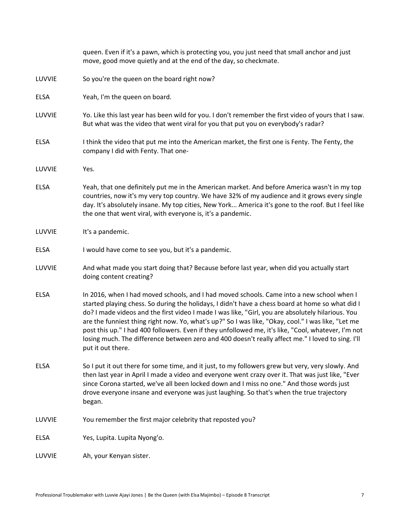|             | queen. Even if it's a pawn, which is protecting you, you just need that small anchor and just<br>move, good move quietly and at the end of the day, so checkmate.                                                                                                                                                                                                                                                                                                                                                                                                                                                                         |
|-------------|-------------------------------------------------------------------------------------------------------------------------------------------------------------------------------------------------------------------------------------------------------------------------------------------------------------------------------------------------------------------------------------------------------------------------------------------------------------------------------------------------------------------------------------------------------------------------------------------------------------------------------------------|
| LUVVIE      | So you're the queen on the board right now?                                                                                                                                                                                                                                                                                                                                                                                                                                                                                                                                                                                               |
| <b>ELSA</b> | Yeah, I'm the queen on board.                                                                                                                                                                                                                                                                                                                                                                                                                                                                                                                                                                                                             |
| LUVVIE      | Yo. Like this last year has been wild for you. I don't remember the first video of yours that I saw.<br>But what was the video that went viral for you that put you on everybody's radar?                                                                                                                                                                                                                                                                                                                                                                                                                                                 |
| <b>ELSA</b> | I think the video that put me into the American market, the first one is Fenty. The Fenty, the<br>company I did with Fenty. That one-                                                                                                                                                                                                                                                                                                                                                                                                                                                                                                     |
| LUVVIE      | Yes.                                                                                                                                                                                                                                                                                                                                                                                                                                                                                                                                                                                                                                      |
| <b>ELSA</b> | Yeah, that one definitely put me in the American market. And before America wasn't in my top<br>countries, now it's my very top country. We have 32% of my audience and it grows every single<br>day. It's absolutely insane. My top cities, New York America it's gone to the roof. But I feel like<br>the one that went viral, with everyone is, it's a pandemic.                                                                                                                                                                                                                                                                       |
| LUVVIE      | It's a pandemic.                                                                                                                                                                                                                                                                                                                                                                                                                                                                                                                                                                                                                          |
| <b>ELSA</b> | I would have come to see you, but it's a pandemic.                                                                                                                                                                                                                                                                                                                                                                                                                                                                                                                                                                                        |
| LUVVIE      | And what made you start doing that? Because before last year, when did you actually start<br>doing content creating?                                                                                                                                                                                                                                                                                                                                                                                                                                                                                                                      |
| <b>ELSA</b> | In 2016, when I had moved schools, and I had moved schools. Came into a new school when I<br>started playing chess. So during the holidays, I didn't have a chess board at home so what did I<br>do? I made videos and the first video I made I was like, "Girl, you are absolutely hilarious. You<br>are the funniest thing right now. Yo, what's up?" So I was like, "Okay, cool." I was like, "Let me<br>post this up." I had 400 followers. Even if they unfollowed me, it's like, "Cool, whatever, I'm not<br>losing much. The difference between zero and 400 doesn't really affect me." I loved to sing. I'll<br>put it out there. |
| <b>ELSA</b> | So I put it out there for some time, and it just, to my followers grew but very, very slowly. And<br>then last year in April I made a video and everyone went crazy over it. That was just like, "Ever<br>since Corona started, we've all been locked down and I miss no one." And those words just<br>drove everyone insane and everyone was just laughing. So that's when the true trajectory<br>began.                                                                                                                                                                                                                                 |
| LUVVIE      | You remember the first major celebrity that reposted you?                                                                                                                                                                                                                                                                                                                                                                                                                                                                                                                                                                                 |
| <b>ELSA</b> | Yes, Lupita. Lupita Nyong'o.                                                                                                                                                                                                                                                                                                                                                                                                                                                                                                                                                                                                              |
| LUVVIE      | Ah, your Kenyan sister.                                                                                                                                                                                                                                                                                                                                                                                                                                                                                                                                                                                                                   |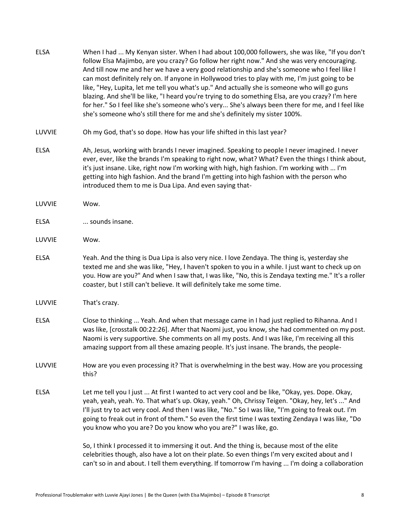| <b>ELSA</b> | When I had  My Kenyan sister. When I had about 100,000 followers, she was like, "If you don't<br>follow Elsa Majimbo, are you crazy? Go follow her right now." And she was very encouraging.<br>And till now me and her we have a very good relationship and she's someone who I feel like I<br>can most definitely rely on. If anyone in Hollywood tries to play with me, I'm just going to be<br>like, "Hey, Lupita, let me tell you what's up." And actually she is someone who will go guns<br>blazing. And she'll be like, "I heard you're trying to do something Elsa, are you crazy? I'm here<br>for her." So I feel like she's someone who's very She's always been there for me, and I feel like<br>she's someone who's still there for me and she's definitely my sister 100%. |
|-------------|------------------------------------------------------------------------------------------------------------------------------------------------------------------------------------------------------------------------------------------------------------------------------------------------------------------------------------------------------------------------------------------------------------------------------------------------------------------------------------------------------------------------------------------------------------------------------------------------------------------------------------------------------------------------------------------------------------------------------------------------------------------------------------------|
| LUVVIE      | Oh my God, that's so dope. How has your life shifted in this last year?                                                                                                                                                                                                                                                                                                                                                                                                                                                                                                                                                                                                                                                                                                                  |
| <b>ELSA</b> | Ah, Jesus, working with brands I never imagined. Speaking to people I never imagined. I never<br>ever, ever, like the brands I'm speaking to right now, what? What? Even the things I think about,<br>it's just insane. Like, right now I'm working with high, high fashion. I'm working with  I'm<br>getting into high fashion. And the brand I'm getting into high fashion with the person who<br>introduced them to me is Dua Lipa. And even saying that-                                                                                                                                                                                                                                                                                                                             |
| LUVVIE      | Wow.                                                                                                                                                                                                                                                                                                                                                                                                                                                                                                                                                                                                                                                                                                                                                                                     |
| <b>ELSA</b> | sounds insane.                                                                                                                                                                                                                                                                                                                                                                                                                                                                                                                                                                                                                                                                                                                                                                           |
| LUVVIE      | Wow.                                                                                                                                                                                                                                                                                                                                                                                                                                                                                                                                                                                                                                                                                                                                                                                     |
| <b>ELSA</b> | Yeah. And the thing is Dua Lipa is also very nice. I love Zendaya. The thing is, yesterday she<br>texted me and she was like, "Hey, I haven't spoken to you in a while. I just want to check up on<br>you. How are you?" And when I saw that, I was like, "No, this is Zendaya texting me." It's a roller<br>coaster, but I still can't believe. It will definitely take me some time.                                                                                                                                                                                                                                                                                                                                                                                                   |
| LUVVIE      | That's crazy.                                                                                                                                                                                                                                                                                                                                                                                                                                                                                                                                                                                                                                                                                                                                                                            |
| <b>ELSA</b> | Close to thinking  Yeah. And when that message came in I had just replied to Rihanna. And I<br>was like, [crosstalk 00:22:26]. After that Naomi just, you know, she had commented on my post.<br>Naomi is very supportive. She comments on all my posts. And I was like, I'm receiving all this<br>amazing support from all these amazing people. It's just insane. The brands, the people-                                                                                                                                                                                                                                                                                                                                                                                              |
| LUVVIE      | How are you even processing it? That is overwhelming in the best way. How are you processing<br>this?                                                                                                                                                                                                                                                                                                                                                                                                                                                                                                                                                                                                                                                                                    |
| <b>ELSA</b> | Let me tell you I just  At first I wanted to act very cool and be like, "Okay, yes. Dope. Okay,<br>yeah, yeah, yeah. Yo. That what's up. Okay, yeah." Oh, Chrissy Teigen. "Okay, hey, let's " And<br>I'll just try to act very cool. And then I was like, "No." So I was like, "I'm going to freak out. I'm<br>going to freak out in front of them." So even the first time I was texting Zendaya I was like, "Do<br>you know who you are? Do you know who you are?" I was like, go.                                                                                                                                                                                                                                                                                                     |
|             | So, I think I processed it to immersing it out. And the thing is, because most of the elite<br>celebrities though, also have a lot on their plate. So even things I'm very excited about and I<br>can't so in and about. I tell them everything. If tomorrow I'm having  I'm doing a collaboration                                                                                                                                                                                                                                                                                                                                                                                                                                                                                       |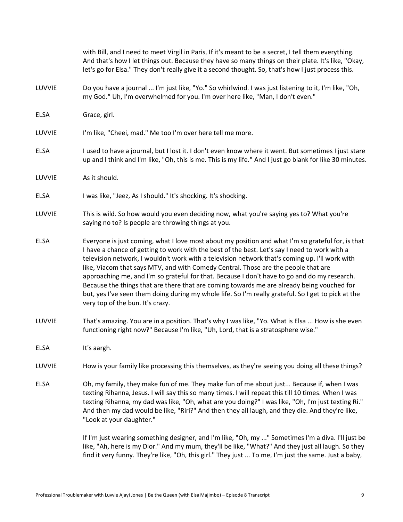|             | with Bill, and I need to meet Virgil in Paris, If it's meant to be a secret, I tell them everything.<br>And that's how I let things out. Because they have so many things on their plate. It's like, "Okay,<br>let's go for Elsa." They don't really give it a second thought. So, that's how I just process this.                                                                                                                                                                                                                                                                                                                                                                                                                  |
|-------------|-------------------------------------------------------------------------------------------------------------------------------------------------------------------------------------------------------------------------------------------------------------------------------------------------------------------------------------------------------------------------------------------------------------------------------------------------------------------------------------------------------------------------------------------------------------------------------------------------------------------------------------------------------------------------------------------------------------------------------------|
| LUVVIE      | Do you have a journal  I'm just like, "Yo." So whirlwind. I was just listening to it, I'm like, "Oh,<br>my God." Uh, I'm overwhelmed for you. I'm over here like, "Man, I don't even."                                                                                                                                                                                                                                                                                                                                                                                                                                                                                                                                              |
| <b>ELSA</b> | Grace, girl.                                                                                                                                                                                                                                                                                                                                                                                                                                                                                                                                                                                                                                                                                                                        |
| LUVVIE      | I'm like, "Cheei, mad." Me too I'm over here tell me more.                                                                                                                                                                                                                                                                                                                                                                                                                                                                                                                                                                                                                                                                          |
| <b>ELSA</b> | I used to have a journal, but I lost it. I don't even know where it went. But sometimes I just stare<br>up and I think and I'm like, "Oh, this is me. This is my life." And I just go blank for like 30 minutes.                                                                                                                                                                                                                                                                                                                                                                                                                                                                                                                    |
| LUVVIE      | As it should.                                                                                                                                                                                                                                                                                                                                                                                                                                                                                                                                                                                                                                                                                                                       |
| <b>ELSA</b> | I was like, "Jeez, As I should." It's shocking. It's shocking.                                                                                                                                                                                                                                                                                                                                                                                                                                                                                                                                                                                                                                                                      |
| LUVVIE      | This is wild. So how would you even deciding now, what you're saying yes to? What you're<br>saying no to? Is people are throwing things at you.                                                                                                                                                                                                                                                                                                                                                                                                                                                                                                                                                                                     |
| <b>ELSA</b> | Everyone is just coming, what I love most about my position and what I'm so grateful for, is that<br>I have a chance of getting to work with the best of the best. Let's say I need to work with a<br>television network, I wouldn't work with a television network that's coming up. I'll work with<br>like, Viacom that says MTV, and with Comedy Central. Those are the people that are<br>approaching me, and I'm so grateful for that. Because I don't have to go and do my research.<br>Because the things that are there that are coming towards me are already being vouched for<br>but, yes I've seen them doing during my whole life. So I'm really grateful. So I get to pick at the<br>very top of the bun. It's crazy. |
| LUVVIE      | That's amazing. You are in a position. That's why I was like, "Yo. What is Elsa  How is she even<br>functioning right now?" Because I'm like, "Uh, Lord, that is a stratosphere wise."                                                                                                                                                                                                                                                                                                                                                                                                                                                                                                                                              |
| <b>ELSA</b> | It's aargh.                                                                                                                                                                                                                                                                                                                                                                                                                                                                                                                                                                                                                                                                                                                         |
| LUVVIE      | How is your family like processing this themselves, as they're seeing you doing all these things?                                                                                                                                                                                                                                                                                                                                                                                                                                                                                                                                                                                                                                   |
| <b>ELSA</b> | Oh, my family, they make fun of me. They make fun of me about just Because if, when I was<br>texting Rihanna, Jesus. I will say this so many times. I will repeat this till 10 times. When I was<br>texting Rihanna, my dad was like, "Oh, what are you doing?" I was like, "Oh, I'm just texting Ri."<br>And then my dad would be like, "Riri?" And then they all laugh, and they die. And they're like,<br>"Look at your daughter."                                                                                                                                                                                                                                                                                               |
|             | If I'm just wearing something designer, and I'm like, "Oh, my " Sometimes I'm a diva. I'll just be<br>like "Ah here is my Dior" And my mum they'll be like "What?" And they just all laugh So they                                                                                                                                                                                                                                                                                                                                                                                                                                                                                                                                  |

like, "Ah, here is my Dior." And my mum, they'll be like, "What?" And they just all laugh. So they find it very funny. They're like, "Oh, this girl." They just ... To me, I'm just the same. Just a baby,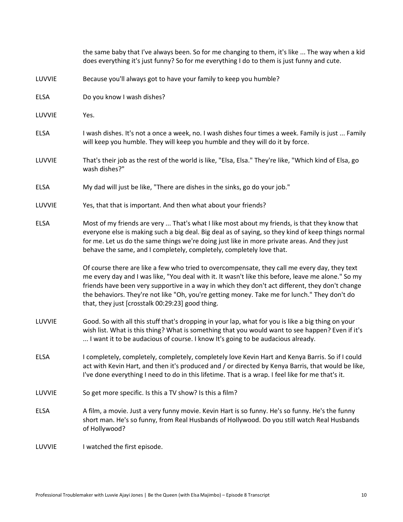|             | the same baby that I've always been. So for me changing to them, it's like  The way when a kid<br>does everything it's just funny? So for me everything I do to them is just funny and cute.                                                                                                                                                                                                                                                               |
|-------------|------------------------------------------------------------------------------------------------------------------------------------------------------------------------------------------------------------------------------------------------------------------------------------------------------------------------------------------------------------------------------------------------------------------------------------------------------------|
| LUVVIE      | Because you'll always got to have your family to keep you humble?                                                                                                                                                                                                                                                                                                                                                                                          |
| <b>ELSA</b> | Do you know I wash dishes?                                                                                                                                                                                                                                                                                                                                                                                                                                 |
| LUVVIE      | Yes.                                                                                                                                                                                                                                                                                                                                                                                                                                                       |
| <b>ELSA</b> | I wash dishes. It's not a once a week, no. I wash dishes four times a week. Family is just  Family<br>will keep you humble. They will keep you humble and they will do it by force.                                                                                                                                                                                                                                                                        |
| LUVVIE      | That's their job as the rest of the world is like, "Elsa, Elsa." They're like, "Which kind of Elsa, go<br>wash dishes?"                                                                                                                                                                                                                                                                                                                                    |
| <b>ELSA</b> | My dad will just be like, "There are dishes in the sinks, go do your job."                                                                                                                                                                                                                                                                                                                                                                                 |
| LUVVIE      | Yes, that that is important. And then what about your friends?                                                                                                                                                                                                                                                                                                                                                                                             |
| <b>ELSA</b> | Most of my friends are very  That's what I like most about my friends, is that they know that<br>everyone else is making such a big deal. Big deal as of saying, so they kind of keep things normal<br>for me. Let us do the same things we're doing just like in more private areas. And they just<br>behave the same, and I completely, completely, completely love that.                                                                                |
|             | Of course there are like a few who tried to overcompensate, they call me every day, they text<br>me every day and I was like, "You deal with it. It wasn't like this before, leave me alone." So my<br>friends have been very supportive in a way in which they don't act different, they don't change<br>the behaviors. They're not like "Oh, you're getting money. Take me for lunch." They don't do<br>that, they just [crosstalk 00:29:23] good thing. |
| LUVVIE      | Good. So with all this stuff that's dropping in your lap, what for you is like a big thing on your<br>wish list. What is this thing? What is something that you would want to see happen? Even if it's<br>I want it to be audacious of course. I know It's going to be audacious already.                                                                                                                                                                  |
| <b>ELSA</b> | I completely, completely, completely, completely love Kevin Hart and Kenya Barris. So if I could<br>act with Kevin Hart, and then it's produced and / or directed by Kenya Barris, that would be like,<br>I've done everything I need to do in this lifetime. That is a wrap. I feel like for me that's it.                                                                                                                                                |
| LUVVIE      | So get more specific. Is this a TV show? Is this a film?                                                                                                                                                                                                                                                                                                                                                                                                   |
| <b>ELSA</b> | A film, a movie. Just a very funny movie. Kevin Hart is so funny. He's so funny. He's the funny<br>short man. He's so funny, from Real Husbands of Hollywood. Do you still watch Real Husbands<br>of Hollywood?                                                                                                                                                                                                                                            |
| LUVVIE      | I watched the first episode.                                                                                                                                                                                                                                                                                                                                                                                                                               |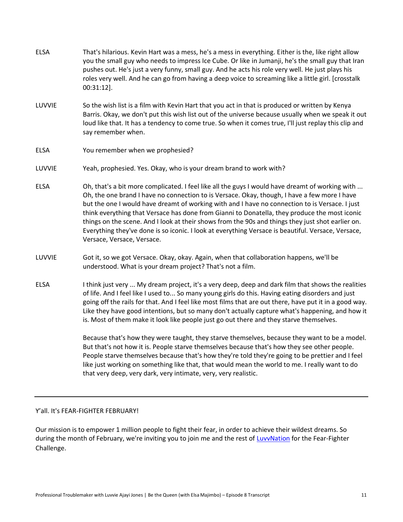ELSA That's hilarious. Kevin Hart was a mess, he's a mess in everything. Either is the, like right allow you the small guy who needs to impress Ice Cube. Or like in Jumanji, he's the small guy that Iran pushes out. He's just a very funny, small guy. And he acts his role very well. He just plays his roles very well. And he can go from having a deep voice to screaming like a little girl. [crosstalk 00:31:12]. LUVVIE So the wish list is a film with Kevin Hart that you act in that is produced or written by Kenya Barris. Okay, we don't put this wish list out of the universe because usually when we speak it out loud like that. It has a tendency to come true. So when it comes true, I'll just replay this clip and say remember when. ELSA You remember when we prophesied? LUVVIE Yeah, prophesied. Yes. Okay, who is your dream brand to work with? ELSA Oh, that's a bit more complicated. I feel like all the guys I would have dreamt of working with ... Oh, the one brand I have no connection to is Versace. Okay, though, I have a few more I have but the one I would have dreamt of working with and I have no connection to is Versace. I just think everything that Versace has done from Gianni to Donatella, they produce the most iconic things on the scene. And I look at their shows from the 90s and things they just shot earlier on. Everything they've done is so iconic. I look at everything Versace is beautiful. Versace, Versace, Versace, Versace, Versace. LUVVIE Got it, so we got Versace. Okay, okay. Again, when that collaboration happens, we'll be understood. What is your dream project? That's not a film. ELSA I think just very ... My dream project, it's a very deep, deep and dark film that shows the realities of life. And I feel like I used to... So many young girls do this. Having eating disorders and just going off the rails for that. And I feel like most films that are out there, have put it in a good way. Like they have good intentions, but so many don't actually capture what's happening, and how it

> Because that's how they were taught, they starve themselves, because they want to be a model. But that's not how it is. People starve themselves because that's how they see other people. People starve themselves because that's how they're told they're going to be prettier and I feel like just working on something like that, that would mean the world to me. I really want to do that very deep, very dark, very intimate, very, very realistic.

is. Most of them make it look like people just go out there and they starve themselves.

## Y'all. It's FEAR-FIGHTER FEBRUARY!

Our mission is to empower 1 million people to fight their fear, in order to achieve their wildest dreams. So during the month of February, we're inviting you to join me and the rest of [LuvvNation](https://luvvnation.com/) for the Fear-Fighter Challenge.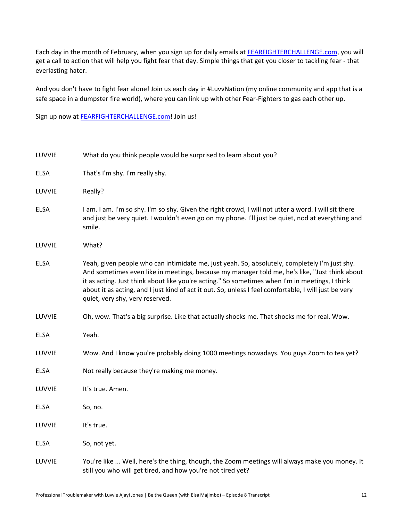Each day in the month of February, when you sign up for daily emails at [FEARFIGHTERCHALLENGE.com,](http://fearfighterchallenge.com/) you will get a call to action that will help you fight fear that day. Simple things that get you closer to tackling fear - that everlasting hater.

And you don't have to fight fear alone! Join us each day in #LuvvNation (my online community and app that is a safe space in a dumpster fire world), where you can link up with other Fear-Fighters to gas each other up.

Sign up now at [FEARFIGHTERCHALLENGE.com!](http://fearfighterchallenge.com/) Join us!

| LUVVIE      | What do you think people would be surprised to learn about you?                                                                                                                                                                                                                                                                                                                                                                              |
|-------------|----------------------------------------------------------------------------------------------------------------------------------------------------------------------------------------------------------------------------------------------------------------------------------------------------------------------------------------------------------------------------------------------------------------------------------------------|
| <b>ELSA</b> | That's I'm shy. I'm really shy.                                                                                                                                                                                                                                                                                                                                                                                                              |
| LUVVIE      | Really?                                                                                                                                                                                                                                                                                                                                                                                                                                      |
| <b>ELSA</b> | I am. I am. I'm so shy. I'm so shy. Given the right crowd, I will not utter a word. I will sit there<br>and just be very quiet. I wouldn't even go on my phone. I'll just be quiet, nod at everything and<br>smile.                                                                                                                                                                                                                          |
| LUVVIE      | What?                                                                                                                                                                                                                                                                                                                                                                                                                                        |
| <b>ELSA</b> | Yeah, given people who can intimidate me, just yeah. So, absolutely, completely I'm just shy.<br>And sometimes even like in meetings, because my manager told me, he's like, "Just think about<br>it as acting. Just think about like you're acting." So sometimes when I'm in meetings, I think<br>about it as acting, and I just kind of act it out. So, unless I feel comfortable, I will just be very<br>quiet, very shy, very reserved. |
| LUVVIE      | Oh, wow. That's a big surprise. Like that actually shocks me. That shocks me for real. Wow.                                                                                                                                                                                                                                                                                                                                                  |
| <b>ELSA</b> | Yeah.                                                                                                                                                                                                                                                                                                                                                                                                                                        |
| LUVVIE      | Wow. And I know you're probably doing 1000 meetings nowadays. You guys Zoom to tea yet?                                                                                                                                                                                                                                                                                                                                                      |
| <b>ELSA</b> | Not really because they're making me money.                                                                                                                                                                                                                                                                                                                                                                                                  |
| LUVVIE      | It's true. Amen.                                                                                                                                                                                                                                                                                                                                                                                                                             |
| <b>ELSA</b> | So, no.                                                                                                                                                                                                                                                                                                                                                                                                                                      |
| LUVVIE      | It's true.                                                                                                                                                                                                                                                                                                                                                                                                                                   |
| <b>ELSA</b> | So, not yet.                                                                                                                                                                                                                                                                                                                                                                                                                                 |
| LUVVIE      | You're like  Well, here's the thing, though, the Zoom meetings will always make you money. It<br>still you who will get tired, and how you're not tired yet?                                                                                                                                                                                                                                                                                 |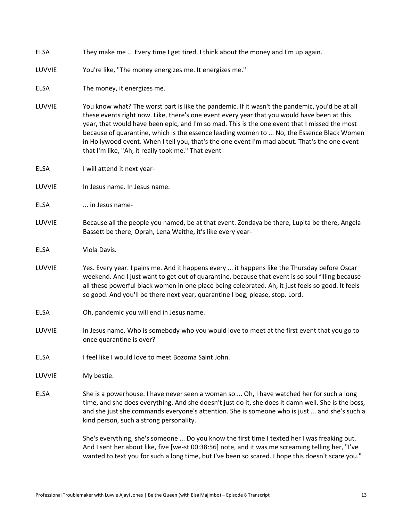| <b>ELSA</b> | They make me  Every time I get tired, I think about the money and I'm up again.                                                                                                                                                                                                                                                                                                                                                                                                                                                                     |
|-------------|-----------------------------------------------------------------------------------------------------------------------------------------------------------------------------------------------------------------------------------------------------------------------------------------------------------------------------------------------------------------------------------------------------------------------------------------------------------------------------------------------------------------------------------------------------|
| LUVVIE      | You're like, "The money energizes me. It energizes me."                                                                                                                                                                                                                                                                                                                                                                                                                                                                                             |
| <b>ELSA</b> | The money, it energizes me.                                                                                                                                                                                                                                                                                                                                                                                                                                                                                                                         |
| LUVVIE      | You know what? The worst part is like the pandemic. If it wasn't the pandemic, you'd be at all<br>these events right now. Like, there's one event every year that you would have been at this<br>year, that would have been epic, and I'm so mad. This is the one event that I missed the most<br>because of quarantine, which is the essence leading women to  No, the Essence Black Women<br>in Hollywood event. When I tell you, that's the one event I'm mad about. That's the one event<br>that I'm like, "Ah, it really took me." That event- |
| <b>ELSA</b> | I will attend it next year-                                                                                                                                                                                                                                                                                                                                                                                                                                                                                                                         |
| LUVVIE      | In Jesus name. In Jesus name.                                                                                                                                                                                                                                                                                                                                                                                                                                                                                                                       |
| <b>ELSA</b> | in Jesus name-                                                                                                                                                                                                                                                                                                                                                                                                                                                                                                                                      |
| LUVVIE      | Because all the people you named, be at that event. Zendaya be there, Lupita be there, Angela<br>Bassett be there, Oprah, Lena Waithe, it's like every year-                                                                                                                                                                                                                                                                                                                                                                                        |
| <b>ELSA</b> | Viola Davis.                                                                                                                                                                                                                                                                                                                                                                                                                                                                                                                                        |
| LUVVIE      | Yes. Every year. I pains me. And it happens every  it happens like the Thursday before Oscar<br>weekend. And I just want to get out of quarantine, because that event is so soul filling because<br>all these powerful black women in one place being celebrated. Ah, it just feels so good. It feels<br>so good. And you'll be there next year, quarantine I beg, please, stop. Lord.                                                                                                                                                              |
| <b>ELSA</b> | Oh, pandemic you will end in Jesus name.                                                                                                                                                                                                                                                                                                                                                                                                                                                                                                            |
| LUVVIE      | In Jesus name. Who is somebody who you would love to meet at the first event that you go to<br>once quarantine is over?                                                                                                                                                                                                                                                                                                                                                                                                                             |
| <b>ELSA</b> | I feel like I would love to meet Bozoma Saint John.                                                                                                                                                                                                                                                                                                                                                                                                                                                                                                 |
| LUVVIE      | My bestie.                                                                                                                                                                                                                                                                                                                                                                                                                                                                                                                                          |
| <b>ELSA</b> | She is a powerhouse. I have never seen a woman so  Oh, I have watched her for such a long<br>time, and she does everything. And she doesn't just do it, she does it damn well. She is the boss,<br>and she just she commands everyone's attention. She is someone who is just  and she's such a<br>kind person, such a strong personality.                                                                                                                                                                                                          |
|             | She's everything, she's someone  Do you know the first time I texted her I was freaking out.                                                                                                                                                                                                                                                                                                                                                                                                                                                        |

She's everything, she's someone ... Do you know the first time I texted her I was freaking out. And I sent her about like, five [we-st 00:38:56] note, and it was me screaming telling her, "I've wanted to text you for such a long time, but I've been so scared. I hope this doesn't scare you."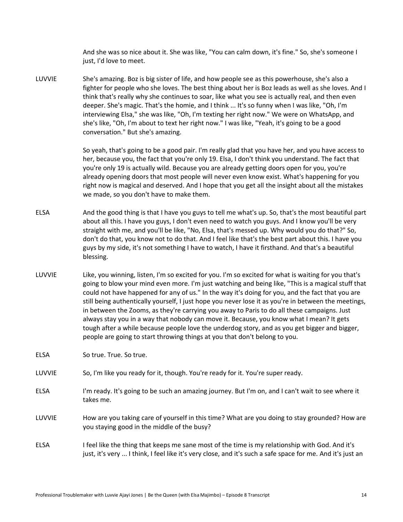And she was so nice about it. She was like, "You can calm down, it's fine." So, she's someone I just, I'd love to meet.

LUVVIE She's amazing. Boz is big sister of life, and how people see as this powerhouse, she's also a fighter for people who she loves. The best thing about her is Boz leads as well as she loves. And I think that's really why she continues to soar, like what you see is actually real, and then even deeper. She's magic. That's the homie, and I think ... It's so funny when I was like, "Oh, I'm interviewing Elsa," she was like, "Oh, I'm texting her right now." We were on WhatsApp, and she's like, "Oh, I'm about to text her right now." I was like, "Yeah, it's going to be a good conversation." But she's amazing.

> So yeah, that's going to be a good pair. I'm really glad that you have her, and you have access to her, because you, the fact that you're only 19. Elsa, I don't think you understand. The fact that you're only 19 is actually wild. Because you are already getting doors open for you, you're already opening doors that most people will never even know exist. What's happening for you right now is magical and deserved. And I hope that you get all the insight about all the mistakes we made, so you don't have to make them.

- ELSA And the good thing is that I have you guys to tell me what's up. So, that's the most beautiful part about all this. I have you guys, I don't even need to watch you guys. And I know you'll be very straight with me, and you'll be like, "No, Elsa, that's messed up. Why would you do that?" So, don't do that, you know not to do that. And I feel like that's the best part about this. I have you guys by my side, it's not something I have to watch, I have it firsthand. And that's a beautiful blessing.
- LUVVIE Like, you winning, listen, I'm so excited for you. I'm so excited for what is waiting for you that's going to blow your mind even more. I'm just watching and being like, "This is a magical stuff that could not have happened for any of us." In the way it's doing for you, and the fact that you are still being authentically yourself, I just hope you never lose it as you're in between the meetings, in between the Zooms, as they're carrying you away to Paris to do all these campaigns. Just always stay you in a way that nobody can move it. Because, you know what I mean? It gets tough after a while because people love the underdog story, and as you get bigger and bigger, people are going to start throwing things at you that don't belong to you.

ELSA So true. True. So true.

- LUVVIE So, I'm like you ready for it, though. You're ready for it. You're super ready.
- ELSA I'm ready. It's going to be such an amazing journey. But I'm on, and I can't wait to see where it takes me.
- LUVVIE How are you taking care of yourself in this time? What are you doing to stay grounded? How are you staying good in the middle of the busy?
- ELSA I feel like the thing that keeps me sane most of the time is my relationship with God. And it's just, it's very ... I think, I feel like it's very close, and it's such a safe space for me. And it's just an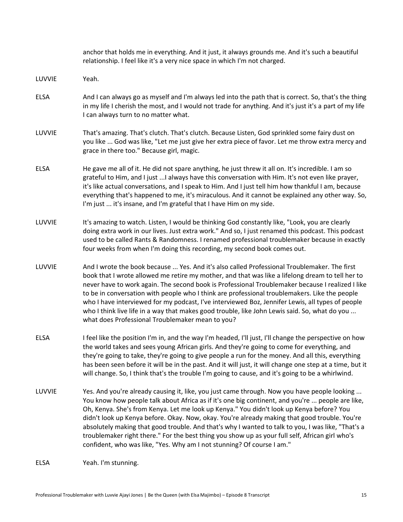|             | anchor that holds me in everything. And it just, it always grounds me. And it's such a beautiful<br>relationship. I feel like it's a very nice space in which I'm not charged.                                                                                                                                                                                                                                                                                                                                                                                                                                                                                                   |
|-------------|----------------------------------------------------------------------------------------------------------------------------------------------------------------------------------------------------------------------------------------------------------------------------------------------------------------------------------------------------------------------------------------------------------------------------------------------------------------------------------------------------------------------------------------------------------------------------------------------------------------------------------------------------------------------------------|
| LUVVIE      | Yeah.                                                                                                                                                                                                                                                                                                                                                                                                                                                                                                                                                                                                                                                                            |
| <b>ELSA</b> | And I can always go as myself and I'm always led into the path that is correct. So, that's the thing<br>in my life I cherish the most, and I would not trade for anything. And it's just it's a part of my life<br>I can always turn to no matter what.                                                                                                                                                                                                                                                                                                                                                                                                                          |
| LUVVIE      | That's amazing. That's clutch. That's clutch. Because Listen, God sprinkled some fairy dust on<br>you like  God was like, "Let me just give her extra piece of favor. Let me throw extra mercy and<br>grace in there too." Because girl, magic.                                                                                                                                                                                                                                                                                                                                                                                                                                  |
| <b>ELSA</b> | He gave me all of it. He did not spare anything, he just threw it all on. It's incredible. I am so<br>grateful to Him, and I just  I always have this conversation with Him. It's not even like prayer,<br>it's like actual conversations, and I speak to Him. And I just tell him how thankful I am, because<br>everything that's happened to me, it's miraculous. And it cannot be explained any other way. So,<br>I'm just  it's insane, and I'm grateful that I have Him on my side.                                                                                                                                                                                         |
| LUVVIE      | It's amazing to watch. Listen, I would be thinking God constantly like, "Look, you are clearly<br>doing extra work in our lives. Just extra work." And so, I just renamed this podcast. This podcast<br>used to be called Rants & Randomness. I renamed professional troublemaker because in exactly<br>four weeks from when I'm doing this recording, my second book comes out.                                                                                                                                                                                                                                                                                                 |
| LUVVIE      | And I wrote the book because  Yes. And it's also called Professional Troublemaker. The first<br>book that I wrote allowed me retire my mother, and that was like a lifelong dream to tell her to<br>never have to work again. The second book is Professional Troublemaker because I realized I like<br>to be in conversation with people who I think are professional troublemakers. Like the people<br>who I have interviewed for my podcast, I've interviewed Boz, Jennifer Lewis, all types of people<br>who I think live life in a way that makes good trouble, like John Lewis said. So, what do you<br>what does Professional Troublemaker mean to you?                   |
| ELSA        | I feel like the position I'm in, and the way I'm headed, I'll just, I'll change the perspective on how<br>the world takes and sees young African girls. And they're going to come for everything, and<br>they're going to take, they're going to give people a run for the money. And all this, everything<br>has been seen before it will be in the past. And it will just, it will change one step at a time, but it<br>will change. So, I think that's the trouble I'm going to cause, and it's going to be a whirlwind.                                                                                                                                                      |
| LUVVIE      | Yes. And you're already causing it, like, you just came through. Now you have people looking<br>You know how people talk about Africa as if it's one big continent, and you're  people are like,<br>Oh, Kenya. She's from Kenya. Let me look up Kenya." You didn't look up Kenya before? You<br>didn't look up Kenya before. Okay. Now, okay. You're already making that good trouble. You're<br>absolutely making that good trouble. And that's why I wanted to talk to you, I was like, "That's a<br>troublemaker right there." For the best thing you show up as your full self, African girl who's<br>confident, who was like, "Yes. Why am I not stunning? Of course I am." |
| <b>ELSA</b> | Yeah. I'm stunning.                                                                                                                                                                                                                                                                                                                                                                                                                                                                                                                                                                                                                                                              |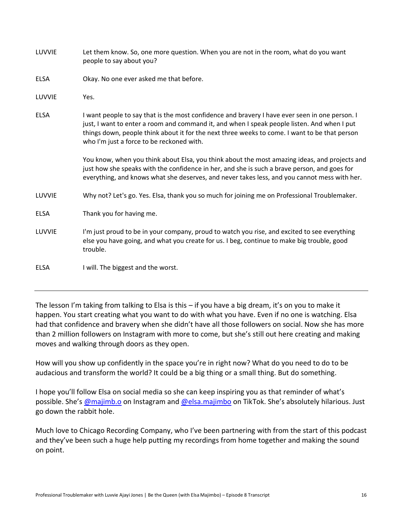- LUVVIE Let them know. So, one more question. When you are not in the room, what do you want people to say about you?
- ELSA Okay. No one ever asked me that before.
- LUVVIE Yes.
- ELSA I want people to say that is the most confidence and bravery I have ever seen in one person. I just, I want to enter a room and command it, and when I speak people listen. And when I put things down, people think about it for the next three weeks to come. I want to be that person who I'm just a force to be reckoned with.

You know, when you think about Elsa, you think about the most amazing ideas, and projects and just how she speaks with the confidence in her, and she is such a brave person, and goes for everything, and knows what she deserves, and never takes less, and you cannot mess with her.

LUVVIE Why not? Let's go. Yes. Elsa, thank you so much for joining me on Professional Troublemaker.

ELSA Thank you for having me.

LUVVIE I'm just proud to be in your company, proud to watch you rise, and excited to see everything else you have going, and what you create for us. I beg, continue to make big trouble, good trouble.

ELSA I will. The biggest and the worst.

The lesson I'm taking from talking to Elsa is this – if you have a big dream, it's on you to make it happen. You start creating what you want to do with what you have. Even if no one is watching. Elsa had that confidence and bravery when she didn't have all those followers on social. Now she has more than 2 million followers on Instagram with more to come, but she's still out here creating and making moves and walking through doors as they open.

How will you show up confidently in the space you're in right now? What do you need to do to be audacious and transform the world? It could be a big thing or a small thing. But do something.

I hope you'll follow Elsa on social media so she can keep inspiring you as that reminder of what's possible. She's [@majimb.o](https://www.instagram.com/majimb.o/) on Instagram and [@elsa.majimbo](https://www.tiktok.com/@elsa.majimbo) on TikTok. She's absolutely hilarious. Just go down the rabbit hole.

Much love to Chicago Recording Company, who I've been partnering with from the start of this podcast and they've been such a huge help putting my recordings from home together and making the sound on point.